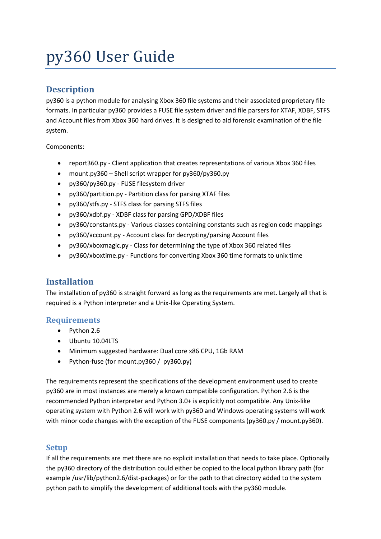# py360 User Guide

# **Description**

py360 is a python module for analysing Xbox 360 file systems and their associated proprietary file formats. In particular py360 provides a FUSE file system driver and file parsers for XTAF, XDBF, STFS and Account files from Xbox 360 hard drives. It is designed to aid forensic examination of the file system.

Components:

- report360.py Client application that creates representations of various Xbox 360 files
- mount.py360 Shell script wrapper for py360/py360.py
- py360/py360.py FUSE filesystem driver
- py360/partition.py Partition class for parsing XTAF files
- py360/stfs.py STFS class for parsing STFS files
- py360/xdbf.py XDBF class for parsing GPD/XDBF files
- py360/constants.py Various classes containing constants such as region code mappings
- py360/account.py Account class for decrypting/parsing Account files
- py360/xboxmagic.py Class for determining the type of Xbox 360 related files
- py360/xboxtime.py Functions for converting Xbox 360 time formats to unix time

# **Installation**

The installation of py360 is straight forward as long as the requirements are met. Largely all that is required is a Python interpreter and a Unix-like Operating System.

# **Requirements**

- Python 2.6
- Ubuntu 10.04LTS
- Minimum suggested hardware: Dual core x86 CPU, 1Gb RAM
- Python-fuse (for mount.py360 / py360.py)

The requirements represent the specifications of the development environment used to create py360 are in most instances are merely a known compatible configuration. Python 2.6 is the recommended Python interpreter and Python 3.0+ is explicitly not compatible. Any Unix-like operating system with Python 2.6 will work with py360 and Windows operating systems will work with minor code changes with the exception of the FUSE components (py360.py / mount.py360).

# **Setup**

If all the requirements are met there are no explicit installation that needs to take place. Optionally the py360 directory of the distribution could either be copied to the local python library path (for example /usr/lib/python2.6/dist-packages) or for the path to that directory added to the system python path to simplify the development of additional tools with the py360 module.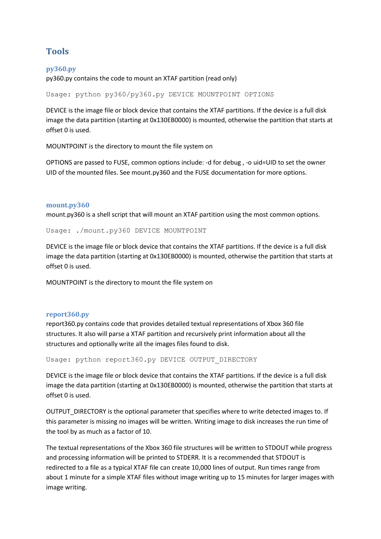# **Tools**

## **py360.py**

py360.py contains the code to mount an XTAF partition (read only)

Usage: python py360/py360.py DEVICE MOUNTPOINT OPTIONS

DEVICE is the image file or block device that contains the XTAF partitions. If the device is a full disk image the data partition (starting at 0x130EB0000) is mounted, otherwise the partition that starts at offset 0 is used.

MOUNTPOINT is the directory to mount the file system on

OPTIONS are passed to FUSE, common options include: -d for debug , -o uid=UID to set the owner UID of the mounted files. See mount.py360 and the FUSE documentation for more options.

#### **mount.py360**

mount.py360 is a shell script that will mount an XTAF partition using the most common options.

Usage: ./mount.py360 DEVICE MOUNTPOINT

DEVICE is the image file or block device that contains the XTAF partitions. If the device is a full disk image the data partition (starting at 0x130EB0000) is mounted, otherwise the partition that starts at offset 0 is used.

MOUNTPOINT is the directory to mount the file system on

#### **report360.py**

report360.py contains code that provides detailed textual representations of Xbox 360 file structures. It also will parse a XTAF partition and recursively print information about all the structures and optionally write all the images files found to disk.

Usage: python report360.py DEVICE OUTPUT DIRECTORY

DEVICE is the image file or block device that contains the XTAF partitions. If the device is a full disk image the data partition (starting at 0x130EB0000) is mounted, otherwise the partition that starts at offset 0 is used.

OUTPUT\_DIRECTORY is the optional parameter that specifies where to write detected images to. If this parameter is missing no images will be written. Writing image to disk increases the run time of the tool by as much as a factor of 10.

The textual representations of the Xbox 360 file structures will be written to STDOUT while progress and processing information will be printed to STDERR. It is a recommended that STDOUT is redirected to a file as a typical XTAF file can create 10,000 lines of output. Run times range from about 1 minute for a simple XTAF files without image writing up to 15 minutes for larger images with image writing.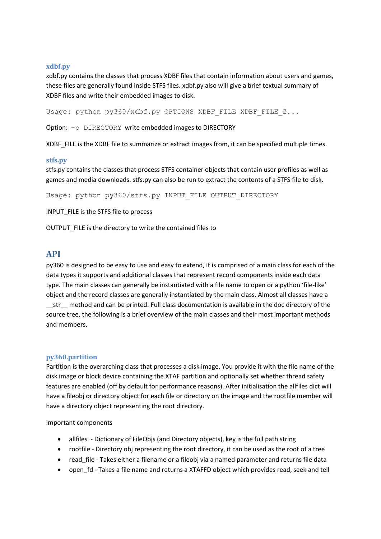## **xdbf.py**

xdbf.py contains the classes that process XDBF files that contain information about users and games, these files are generally found inside STFS files. xdbf.py also will give a brief textual summary of XDBF files and write their embedded images to disk.

Usage: python py360/xdbf.py OPTIONS XDBF FILE XDBF FILE 2...

Option: -p DIRECTORY write embedded images to DIRECTORY

XDBF FILE is the XDBF file to summarize or extract images from, it can be specified multiple times.

#### **stfs.py**

stfs.py contains the classes that process STFS container objects that contain user profiles as well as games and media downloads. stfs.py can also be run to extract the contents of a STFS file to disk.

Usage: python py360/stfs.py INPUT FILE OUTPUT DIRECTORY

INPUT\_FILE is the STFS file to process

OUTPUT\_FILE is the directory to write the contained files to

# **API**

py360 is designed to be easy to use and easy to extend, it is comprised of a main class for each of the data types it supports and additional classes that represent record components inside each data type. The main classes can generally be instantiated with a file name to open or a python 'file-like' object and the record classes are generally instantiated by the main class. Almost all classes have a \_\_str\_\_ method and can be printed. Full class documentation is available in the doc directory of the source tree, the following is a brief overview of the main classes and their most important methods and members.

#### **py360.partition**

Partition is the overarching class that processes a disk image. You provide it with the file name of the disk image or block device containing the XTAF partition and optionally set whether thread safety features are enabled (off by default for performance reasons). After initialisation the allfiles dict will have a fileobj or directory object for each file or directory on the image and the rootfile member will have a directory object representing the root directory.

Important components

- allfiles Dictionary of FileObjs (and Directory objects), key is the full path string
- rootfile Directory obj representing the root directory, it can be used as the root of a tree
- read file Takes either a filename or a fileobj via a named parameter and returns file data
- open\_fd Takes a file name and returns a XTAFFD object which provides read, seek and tell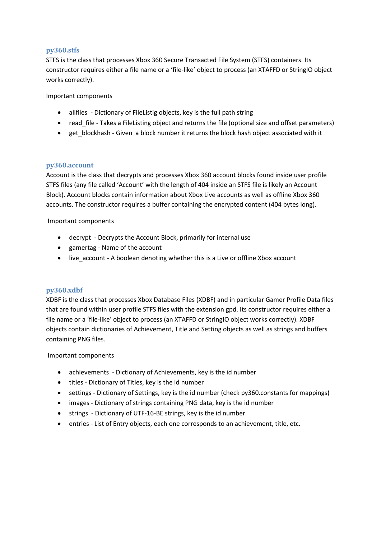## **py360.stfs**

STFS is the class that processes Xbox 360 Secure Transacted File System (STFS) containers. Its constructor requires either a file name or a 'file-like' object to process (an XTAFFD or StringIO object works correctly).

Important components

- allfiles Dictionary of FileListig objects, key is the full path string
- read\_file Takes a FileListing object and returns the file (optional size and offset parameters)
- get\_blockhash Given a block number it returns the block hash object associated with it

## **py360.account**

Account is the class that decrypts and processes Xbox 360 account blocks found inside user profile STFS files (any file called 'Account' with the length of 404 inside an STFS file is likely an Account Block). Account blocks contain information about Xbox Live accounts as well as offline Xbox 360 accounts. The constructor requires a buffer containing the encrypted content (404 bytes long).

Important components

- decrypt Decrypts the Account Block, primarily for internal use
- gamertag Name of the account
- live account A boolean denoting whether this is a Live or offline Xbox account

# **py360.xdbf**

XDBF is the class that processes Xbox Database Files (XDBF) and in particular Gamer Profile Data files that are found within user profile STFS files with the extension gpd. Its constructor requires either a file name or a 'file-like' object to process (an XTAFFD or StringIO object works correctly). XDBF objects contain dictionaries of Achievement, Title and Setting objects as well as strings and buffers containing PNG files.

#### Important components

- achievements Dictionary of Achievements, key is the id number
- titles Dictionary of Titles, key is the id number
- settings Dictionary of Settings, key is the id number (check py360.constants for mappings)
- images Dictionary of strings containing PNG data, key is the id number
- strings Dictionary of UTF-16-BE strings, key is the id number
- entries List of Entry objects, each one corresponds to an achievement, title, etc.